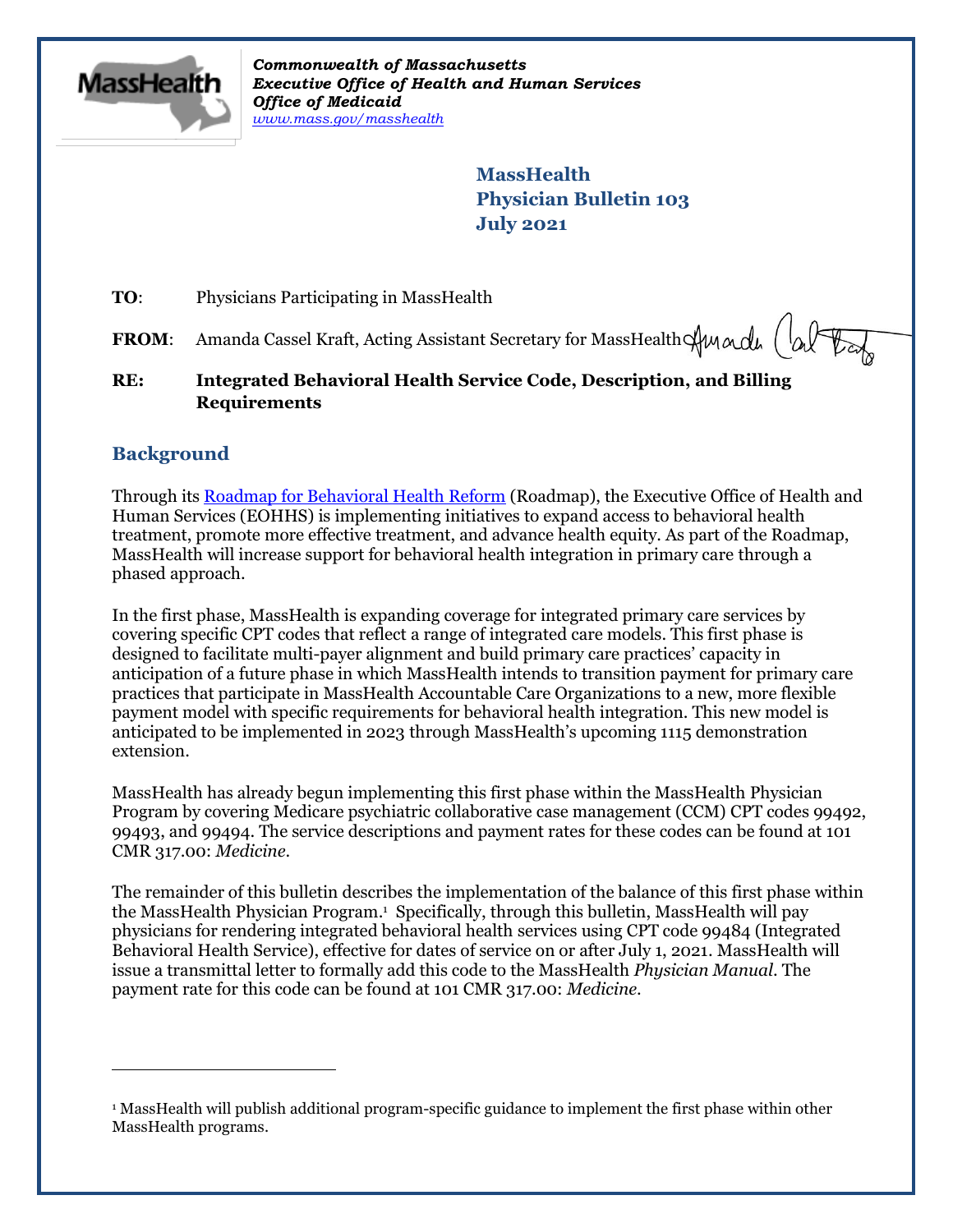

*Commonwealth of Massachusetts Executive Office of Health and Human Services Office of Medicaid [www.mass.gov/masshealth](http://www.mass.gov/masshealth)*

> **MassHealth Physician Bulletin 103 July 2021**

**TO:** Physicians Participating in MassHealth

**FROM:** Amanda Cassel Kraft, Acting Assistant Secretary for MassHealth  $\bigoplus_{\alpha}$   $\big(\bigotimes_{\alpha}$ 

**RE: Integrated Behavioral Health Service Code, Description, and Billing Requirements**

## **Background**

 $\overline{a}$ 

Through its [Roadmap for Behavioral Health Reform](https://www.mass.gov/service-details/roadmap-for-behavioral-health-reform) (Roadmap), the Executive Office of Health and Human Services (EOHHS) is implementing initiatives to expand access to behavioral health treatment, promote more effective treatment, and advance health equity. As part of the Roadmap, MassHealth will increase support for behavioral health integration in primary care through a phased approach.

In the first phase, MassHealth is expanding coverage for integrated primary care services by covering specific CPT codes that reflect a range of integrated care models. This first phase is designed to facilitate multi-payer alignment and build primary care practices' capacity in anticipation of a future phase in which MassHealth intends to transition payment for primary care practices that participate in MassHealth Accountable Care Organizations to a new, more flexible payment model with specific requirements for behavioral health integration. This new model is anticipated to be implemented in 2023 through MassHealth's upcoming 1115 demonstration extension.

MassHealth has already begun implementing this first phase within the MassHealth Physician Program by covering Medicare psychiatric collaborative case management (CCM) CPT codes 99492, 99493, and 99494. The service descriptions and payment rates for these codes can be found at 101 CMR 317.00: *Medicine*.

The remainder of this bulletin describes the implementation of the balance of this first phase within the MassHealth Physician Program. 1 Specifically, through this bulletin, MassHealth will pay physicians for rendering integrated behavioral health services using CPT code 99484 (Integrated Behavioral Health Service), effective for dates of service on or after July 1, 2021. MassHealth will issue a transmittal letter to formally add this code to the MassHealth *Physician Manual*. The payment rate for this code can be found at 101 CMR 317.00: *Medicine*.

<sup>1</sup> MassHealth will publish additional program-specific guidance to implement the first phase within other MassHealth programs.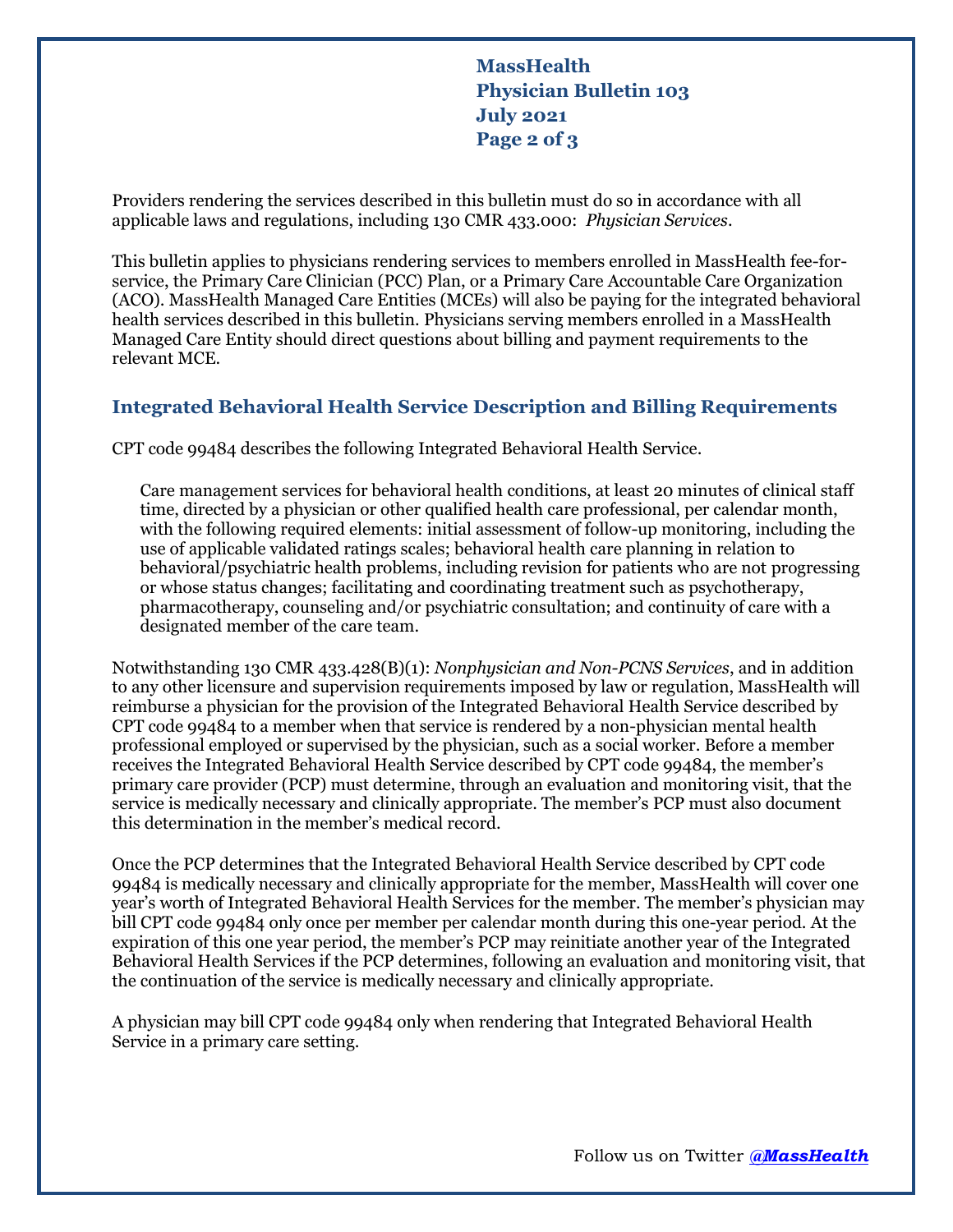**MassHealth Physician Bulletin 103 July 2021 Page 2 of 3**

Providers rendering the services described in this bulletin must do so in accordance with all applicable laws and regulations, including 130 CMR 433.000: *Physician Services*.

This bulletin applies to physicians rendering services to members enrolled in MassHealth fee-forservice, the Primary Care Clinician (PCC) Plan, or a Primary Care Accountable Care Organization (ACO). MassHealth Managed Care Entities (MCEs) will also be paying for the integrated behavioral health services described in this bulletin. Physicians serving members enrolled in a MassHealth Managed Care Entity should direct questions about billing and payment requirements to the relevant MCE.

## **Integrated Behavioral Health Service Description and Billing Requirements**

CPT code 99484 describes the following Integrated Behavioral Health Service.

Care management services for behavioral health conditions, at least 20 minutes of clinical staff time, directed by a physician or other qualified health care professional, per calendar month, with the following required elements: initial assessment of follow-up monitoring, including the use of applicable validated ratings scales; behavioral health care planning in relation to behavioral/psychiatric health problems, including revision for patients who are not progressing or whose status changes; facilitating and coordinating treatment such as psychotherapy, pharmacotherapy, counseling and/or psychiatric consultation; and continuity of care with a designated member of the care team.

Notwithstanding 130 CMR 433.428(B)(1): *Nonphysician and Non-PCNS Services*, and in addition to any other licensure and supervision requirements imposed by law or regulation, MassHealth will reimburse a physician for the provision of the Integrated Behavioral Health Service described by CPT code 99484 to a member when that service is rendered by a non-physician mental health professional employed or supervised by the physician, such as a social worker. Before a member receives the Integrated Behavioral Health Service described by CPT code 99484, the member's primary care provider (PCP) must determine, through an evaluation and monitoring visit, that the service is medically necessary and clinically appropriate. The member's PCP must also document this determination in the member's medical record.

Once the PCP determines that the Integrated Behavioral Health Service described by CPT code 99484 is medically necessary and clinically appropriate for the member, MassHealth will cover one year's worth of Integrated Behavioral Health Services for the member. The member's physician may bill CPT code 99484 only once per member per calendar month during this one-year period. At the expiration of this one year period, the member's PCP may reinitiate another year of the Integrated Behavioral Health Services if the PCP determines, following an evaluation and monitoring visit, that the continuation of the service is medically necessary and clinically appropriate.

A physician may bill CPT code 99484 only when rendering that Integrated Behavioral Health Service in a primary care setting.

Follow us on Twitter *[@MassHealth](https://twitter.com/masshealth)*